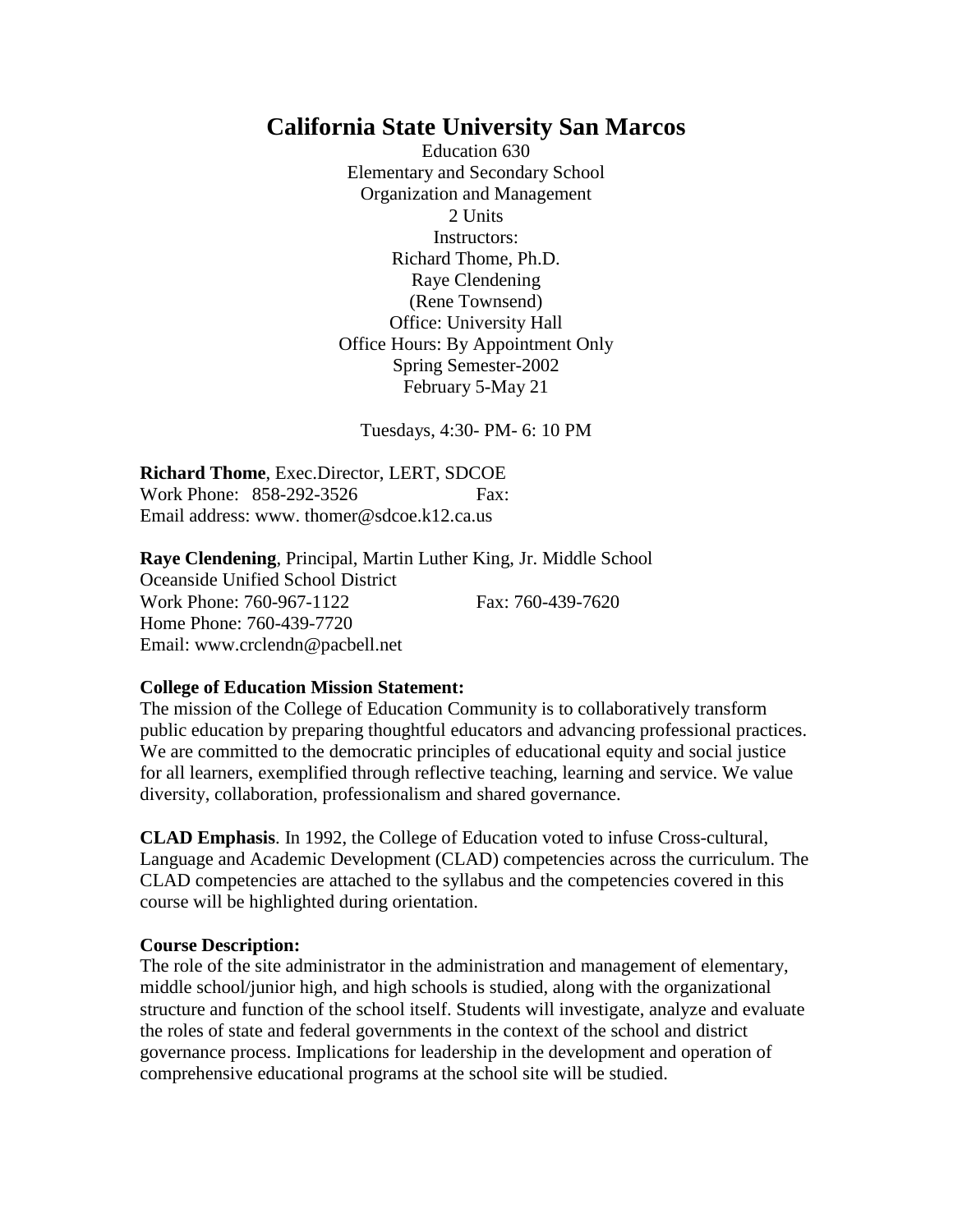# **California State University San Marcos**

Education 630 Elementary and Secondary School Organization and Management 2 Units Instructors: Richard Thome, Ph.D. Raye Clendening (Rene Townsend) Office: University Hall Office Hours: By Appointment Only Spring Semester-2002 February 5-May 21

Tuesdays, 4:30- PM- 6: 10 PM

**Richard Thome**, Exec.Director, LERT, SDCOE Work Phone: 858-292-3526 Fax: Email address: www. thomer@sdcoe.k12.ca.us

**Raye Clendening**, Principal, Martin Luther King, Jr. Middle School Oceanside Unified School District Work Phone: 760-967-1122 Fax: 760-439-7620 Home Phone: 760-439-7720 Email: www.crclendn@pacbell.net

#### **College of Education Mission Statement:**

The mission of the College of Education Community is to collaboratively transform public education by preparing thoughtful educators and advancing professional practices. We are committed to the democratic principles of educational equity and social justice for all learners, exemplified through reflective teaching, learning and service. We value diversity, collaboration, professionalism and shared governance.

**CLAD Emphasis**. In 1992, the College of Education voted to infuse Cross-cultural, Language and Academic Development (CLAD) competencies across the curriculum. The CLAD competencies are attached to the syllabus and the competencies covered in this course will be highlighted during orientation.

#### **Course Description:**

The role of the site administrator in the administration and management of elementary, middle school/junior high, and high schools is studied, along with the organizational structure and function of the school itself. Students will investigate, analyze and evaluate the roles of state and federal governments in the context of the school and district governance process. Implications for leadership in the development and operation of comprehensive educational programs at the school site will be studied.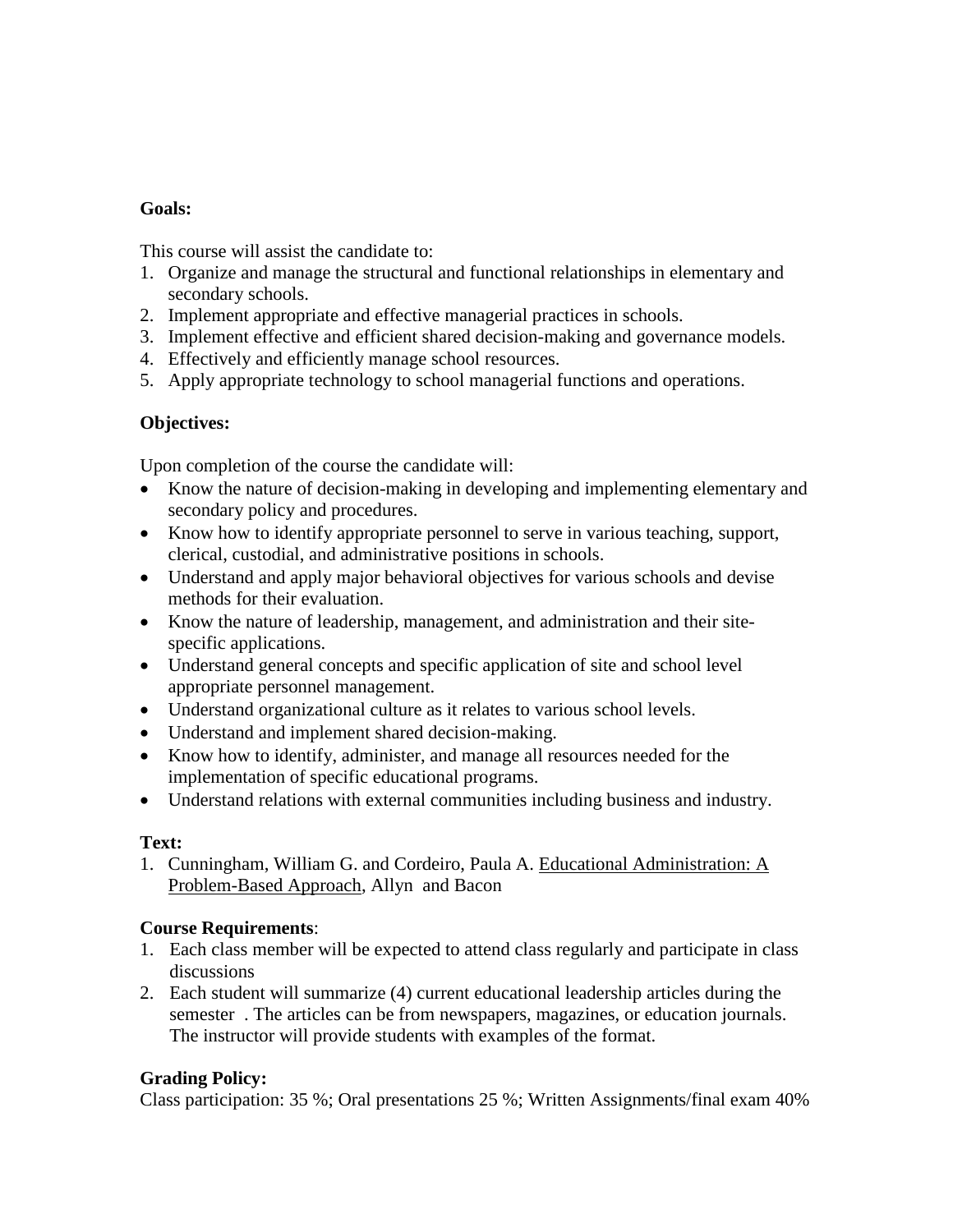#### **Goals:**

This course will assist the candidate to:

- 1. Organize and manage the structural and functional relationships in elementary and secondary schools.
- 2. Implement appropriate and effective managerial practices in schools.
- 3. Implement effective and efficient shared decision-making and governance models.
- 4. Effectively and efficiently manage school resources.
- 5. Apply appropriate technology to school managerial functions and operations.

### **Objectives:**

Upon completion of the course the candidate will:

- Know the nature of decision-making in developing and implementing elementary and secondary policy and procedures.
- Know how to identify appropriate personnel to serve in various teaching, support, clerical, custodial, and administrative positions in schools.
- Understand and apply major behavioral objectives for various schools and devise methods for their evaluation.
- Know the nature of leadership, management, and administration and their sitespecific applications.
- Understand general concepts and specific application of site and school level appropriate personnel management.
- Understand organizational culture as it relates to various school levels.
- Understand and implement shared decision-making.
- Know how to identify, administer, and manage all resources needed for the implementation of specific educational programs.
- Understand relations with external communities including business and industry.

# **Text:**

1. Cunningham, William G. and Cordeiro, Paula A. Educational Administration: A Problem-Based Approach, Allyn and Bacon

# **Course Requirements**:

- 1. Each class member will be expected to attend class regularly and participate in class discussions
- 2. Each student will summarize (4) current educational leadership articles during the semester . The articles can be from newspapers, magazines, or education journals. The instructor will provide students with examples of the format.

# **Grading Policy:**

Class participation: 35 %; Oral presentations 25 %; Written Assignments/final exam 40%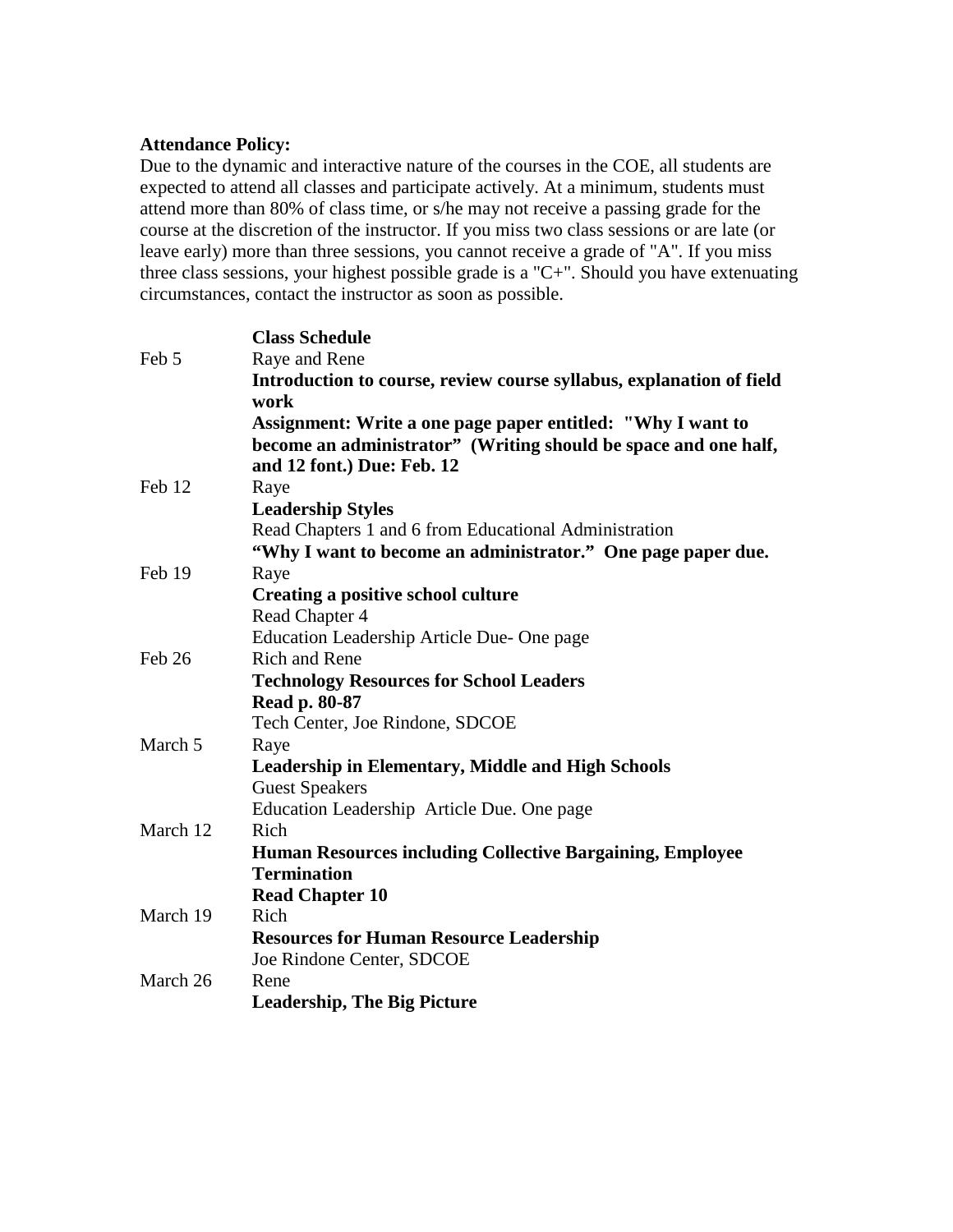#### **Attendance Policy:**

Due to the dynamic and interactive nature of the courses in the COE, all students are expected to attend all classes and participate actively. At a minimum, students must attend more than 80% of class time, or s/he may not receive a passing grade for the course at the discretion of the instructor. If you miss two class sessions or are late (or leave early) more than three sessions, you cannot receive a grade of "A". If you miss three class sessions, your highest possible grade is a "C+". Should you have extenuating circumstances, contact the instructor as soon as possible.

|          | <b>Class Schedule</b>                                                |
|----------|----------------------------------------------------------------------|
| Feb 5    | Raye and Rene                                                        |
|          | Introduction to course, review course syllabus, explanation of field |
|          | work                                                                 |
|          | Assignment: Write a one page paper entitled: "Why I want to          |
|          | become an administrator" (Writing should be space and one half,      |
|          | and 12 font.) Due: Feb. 12                                           |
| Feb 12   | Raye                                                                 |
|          | <b>Leadership Styles</b>                                             |
|          | Read Chapters 1 and 6 from Educational Administration                |
|          | "Why I want to become an administrator." One page paper due.         |
| Feb 19   | Raye                                                                 |
|          | <b>Creating a positive school culture</b>                            |
|          | Read Chapter 4                                                       |
|          | Education Leadership Article Due- One page                           |
| Feb 26   | <b>Rich and Rene</b>                                                 |
|          | <b>Technology Resources for School Leaders</b>                       |
|          | Read p. 80-87                                                        |
|          | Tech Center, Joe Rindone, SDCOE                                      |
| March 5  | Raye                                                                 |
|          | <b>Leadership in Elementary, Middle and High Schools</b>             |
|          | <b>Guest Speakers</b>                                                |
|          | Education Leadership Article Due. One page                           |
| March 12 | Rich                                                                 |
|          | <b>Human Resources including Collective Bargaining, Employee</b>     |
|          | <b>Termination</b>                                                   |
|          | <b>Read Chapter 10</b>                                               |
| March 19 | Rich                                                                 |
|          | <b>Resources for Human Resource Leadership</b>                       |
|          | Joe Rindone Center, SDCOE                                            |
| March 26 | Rene                                                                 |
|          | <b>Leadership, The Big Picture</b>                                   |